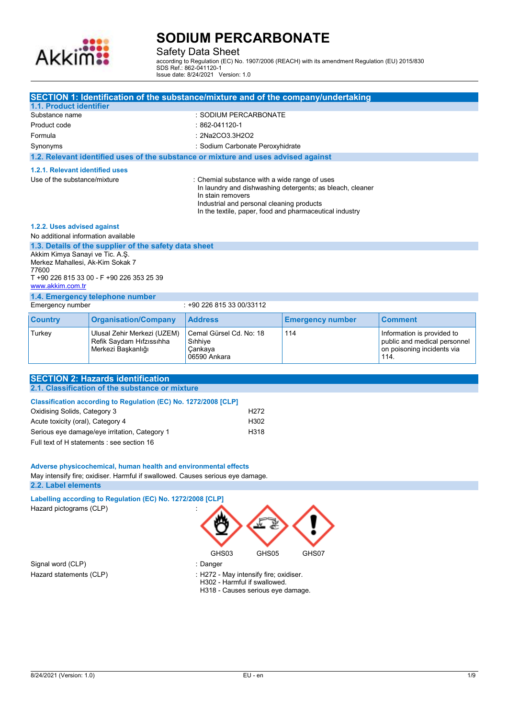

Safety Data Sheet

according to Regulation (EC) No. 1907/2006 (REACH) with its amendment Regulation (EU) 2015/830 SDS Ref.: 862-041120-1 Issue date: 8/24/2021 Version: 1.0

|                                                                                                                                                                                                                                                                                                                                                                                                                                                                                  |                                                                               | SECTION 1: Identification of the substance/mixture and of the company/undertaking                                                                                                                                                       |                         |                                                                                                  |
|----------------------------------------------------------------------------------------------------------------------------------------------------------------------------------------------------------------------------------------------------------------------------------------------------------------------------------------------------------------------------------------------------------------------------------------------------------------------------------|-------------------------------------------------------------------------------|-----------------------------------------------------------------------------------------------------------------------------------------------------------------------------------------------------------------------------------------|-------------------------|--------------------------------------------------------------------------------------------------|
| 1.1. Product identifier                                                                                                                                                                                                                                                                                                                                                                                                                                                          |                                                                               |                                                                                                                                                                                                                                         |                         |                                                                                                  |
| : SODIUM PERCARBONATE<br>Substance name                                                                                                                                                                                                                                                                                                                                                                                                                                          |                                                                               |                                                                                                                                                                                                                                         |                         |                                                                                                  |
| Product code                                                                                                                                                                                                                                                                                                                                                                                                                                                                     |                                                                               | $:862-041120-1$<br>: 2Na2CO3.3H2O2                                                                                                                                                                                                      |                         |                                                                                                  |
| Formula<br>Synonyms                                                                                                                                                                                                                                                                                                                                                                                                                                                              |                                                                               | : Sodium Carbonate Peroxyhidrate                                                                                                                                                                                                        |                         |                                                                                                  |
|                                                                                                                                                                                                                                                                                                                                                                                                                                                                                  |                                                                               | 1.2. Relevant identified uses of the substance or mixture and uses advised against                                                                                                                                                      |                         |                                                                                                  |
| 1.2.1. Relevant identified uses                                                                                                                                                                                                                                                                                                                                                                                                                                                  |                                                                               |                                                                                                                                                                                                                                         |                         |                                                                                                  |
| Use of the substance/mixture                                                                                                                                                                                                                                                                                                                                                                                                                                                     |                                                                               | : Chemial substance with a wide range of uses<br>In laundry and dishwashing detergents; as bleach, cleaner<br>In stain removers<br>Industrial and personal cleaning products<br>In the textile, paper, food and pharmaceutical industry |                         |                                                                                                  |
| 1.2.2. Uses advised against                                                                                                                                                                                                                                                                                                                                                                                                                                                      |                                                                               |                                                                                                                                                                                                                                         |                         |                                                                                                  |
| No additional information available                                                                                                                                                                                                                                                                                                                                                                                                                                              | 1.3. Details of the supplier of the safety data sheet                         |                                                                                                                                                                                                                                         |                         |                                                                                                  |
| Akkim Kimya Sanayi ve Tic. A.Ş.<br>Merkez Mahallesi, Ak-Kim Sokak 7<br>77600                                                                                                                                                                                                                                                                                                                                                                                                     | T +90 226 815 33 00 - F +90 226 353 25 39                                     |                                                                                                                                                                                                                                         |                         |                                                                                                  |
| www.akkim.com.tr                                                                                                                                                                                                                                                                                                                                                                                                                                                                 |                                                                               |                                                                                                                                                                                                                                         |                         |                                                                                                  |
| Emergency number                                                                                                                                                                                                                                                                                                                                                                                                                                                                 | 1.4. Emergency telephone number                                               | : +90 226 815 33 00/33112                                                                                                                                                                                                               |                         |                                                                                                  |
| <b>Country</b>                                                                                                                                                                                                                                                                                                                                                                                                                                                                   | <b>Organisation/Company</b>                                                   | <b>Address</b>                                                                                                                                                                                                                          | <b>Emergency number</b> | <b>Comment</b>                                                                                   |
| Turkey                                                                                                                                                                                                                                                                                                                                                                                                                                                                           | Ulusal Zehir Merkezi (UZEM)<br>Refik Saydam Hıfzıssıhha<br>Merkezi Başkanlığı | Cemal Gürsel Cd. No: 18<br>Sihhiye<br>Cankaya<br>06590 Ankara                                                                                                                                                                           | 114                     | Information is provided to<br>public and medical personnel<br>on poisoning incidents via<br>114. |
|                                                                                                                                                                                                                                                                                                                                                                                                                                                                                  |                                                                               |                                                                                                                                                                                                                                         |                         |                                                                                                  |
|                                                                                                                                                                                                                                                                                                                                                                                                                                                                                  | <b>SECTION 2: Hazards identification</b>                                      |                                                                                                                                                                                                                                         |                         |                                                                                                  |
| 2.1. Classification of the substance or mixture<br>Classification according to Regulation (EC) No. 1272/2008 [CLP]<br>Oxidising Solids, Category 3<br>H <sub>2</sub> 72<br>Acute toxicity (oral), Category 4<br>H302<br>Serious eye damage/eye irritation, Category 1<br>H318<br>Full text of H statements : see section 16<br>Adverse physicochemical, human health and environmental effects<br>May intensify fire; oxidiser. Harmful if swallowed. Causes serious eye damage. |                                                                               |                                                                                                                                                                                                                                         |                         |                                                                                                  |
| 2.2. Label elements                                                                                                                                                                                                                                                                                                                                                                                                                                                              |                                                                               |                                                                                                                                                                                                                                         |                         |                                                                                                  |
| Hazard pictograms (CLP)                                                                                                                                                                                                                                                                                                                                                                                                                                                          | Labelling according to Regulation (EC) No. 1272/2008 [CLP]                    | GHS03<br>GHS05                                                                                                                                                                                                                          | GHS07                   |                                                                                                  |
| Signal word (CLP)<br>: Danger<br>Hazard statements (CLP)<br>: H272 - May intensify fire; oxidiser.<br>H302 - Harmful if swallowed.<br>H318 - Causes serious eye damage.                                                                                                                                                                                                                                                                                                          |                                                                               |                                                                                                                                                                                                                                         |                         |                                                                                                  |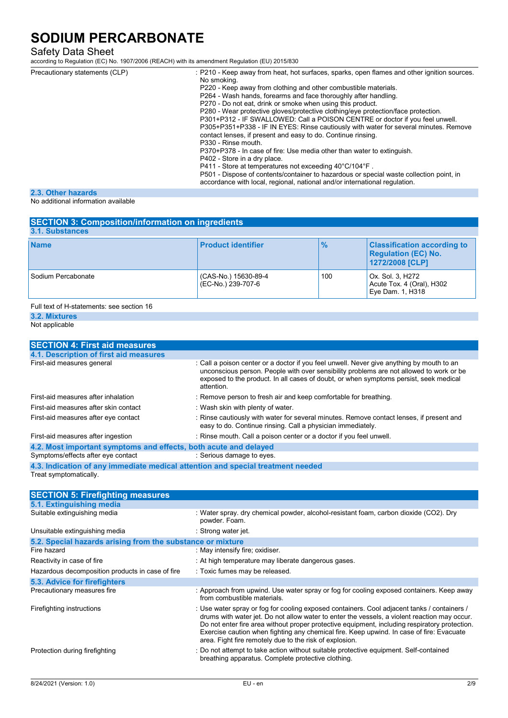## Safety Data Sheet

according to Regulation (EC) No. 1907/2006 (REACH) with its amendment Regulation (EU) 2015/830

| Precautionary statements (CLP)                             | : P210 - Keep away from heat, hot surfaces, sparks, open flames and other ignition sources.<br>No smoking.<br>P220 - Keep away from clothing and other combustible materials.<br>P264 - Wash hands, forearms and face thoroughly after handling.<br>P270 - Do not eat, drink or smoke when using this product.<br>P280 - Wear protective gloves/protective clothing/eye protection/face protection.<br>P301+P312 - IF SWALLOWED: Call a POISON CENTRE or doctor if you feel unwell.<br>P305+P351+P338 - IF IN EYES: Rinse cautiously with water for several minutes. Remove<br>contact lenses, if present and easy to do. Continue rinsing.<br>P330 - Rinse mouth.<br>P370+P378 - In case of fire: Use media other than water to extinguish.<br>P402 - Store in a dry place.<br>P411 - Store at temperatures not exceeding 40°C/104°F.<br>P501 - Dispose of contents/container to hazardous or special waste collection point, in<br>accordance with local, regional, national and/or international regulation. |
|------------------------------------------------------------|-----------------------------------------------------------------------------------------------------------------------------------------------------------------------------------------------------------------------------------------------------------------------------------------------------------------------------------------------------------------------------------------------------------------------------------------------------------------------------------------------------------------------------------------------------------------------------------------------------------------------------------------------------------------------------------------------------------------------------------------------------------------------------------------------------------------------------------------------------------------------------------------------------------------------------------------------------------------------------------------------------------------|
| 2.3. Other hazards                                         |                                                                                                                                                                                                                                                                                                                                                                                                                                                                                                                                                                                                                                                                                                                                                                                                                                                                                                                                                                                                                 |
| الملحلة والمستحدث ويمتلئ ومستحكمته المتعرم للقالم المتحارب |                                                                                                                                                                                                                                                                                                                                                                                                                                                                                                                                                                                                                                                                                                                                                                                                                                                                                                                                                                                                                 |

#### No additional information available

| <b>SECTION 3: Composition/information on ingredients</b><br>3.1. Substances |                                            |               |                                                                                     |
|-----------------------------------------------------------------------------|--------------------------------------------|---------------|-------------------------------------------------------------------------------------|
| <b>Name</b>                                                                 | <b>Product identifier</b>                  | $\frac{1}{2}$ | <b>Classification according to</b><br><b>Regulation (EC) No.</b><br>1272/2008 [CLP] |
| Sodium Percabonate                                                          | (CAS-No.) 15630-89-4<br>(EC-No.) 239-707-6 | 100           | Ox. Sol. 3, H272<br>Acute Tox. 4 (Oral), H302<br>Eye Dam. 1, H318                   |
| Full text of H-statements: see section 16                                   |                                            |               |                                                                                     |

## **3.2. Mixtures**

Not applicable

| <b>SECTION 4: First aid measures</b>                                            |                                                                                                                                                                                                                                                                                             |  |
|---------------------------------------------------------------------------------|---------------------------------------------------------------------------------------------------------------------------------------------------------------------------------------------------------------------------------------------------------------------------------------------|--|
| 4.1. Description of first aid measures                                          |                                                                                                                                                                                                                                                                                             |  |
| First-aid measures general                                                      | : Call a poison center or a doctor if you feel unwell. Never give anything by mouth to an<br>unconscious person. People with over sensibility problems are not allowed to work or be<br>exposed to the product. In all cases of doubt, or when symptoms persist, seek medical<br>attention. |  |
| First-aid measures after inhalation                                             | : Remove person to fresh air and keep comfortable for breathing.                                                                                                                                                                                                                            |  |
| First-aid measures after skin contact                                           | : Wash skin with plenty of water.                                                                                                                                                                                                                                                           |  |
| First-aid measures after eye contact                                            | : Rinse cautiously with water for several minutes. Remove contact lenses, if present and<br>easy to do. Continue rinsing. Call a physician immediately.                                                                                                                                     |  |
| First-aid measures after ingestion                                              | : Rinse mouth. Call a poison center or a doctor if you feel unwell.                                                                                                                                                                                                                         |  |
| 4.2. Most important symptoms and effects, both acute and delayed                |                                                                                                                                                                                                                                                                                             |  |
| Symptoms/effects after eye contact                                              | : Serious damage to eyes.                                                                                                                                                                                                                                                                   |  |
| 4.3. Indication of any immediate medical attention and special treatment needed |                                                                                                                                                                                                                                                                                             |  |

Treat symptomatically.

| <b>SECTION 5: Firefighting measures</b>                    |                                                                                                                                                                                                                                                                                                                                                                                                                                                     |
|------------------------------------------------------------|-----------------------------------------------------------------------------------------------------------------------------------------------------------------------------------------------------------------------------------------------------------------------------------------------------------------------------------------------------------------------------------------------------------------------------------------------------|
| 5.1. Extinguishing media                                   |                                                                                                                                                                                                                                                                                                                                                                                                                                                     |
| Suitable extinguishing media                               | : Water spray, dry chemical powder, alcohol-resistant foam, carbon dioxide (CO2). Dry<br>powder. Foam.                                                                                                                                                                                                                                                                                                                                              |
| Unsuitable extinguishing media                             | : Strong water jet.                                                                                                                                                                                                                                                                                                                                                                                                                                 |
| 5.2. Special hazards arising from the substance or mixture |                                                                                                                                                                                                                                                                                                                                                                                                                                                     |
| Fire hazard                                                | : May intensify fire; oxidiser.                                                                                                                                                                                                                                                                                                                                                                                                                     |
| Reactivity in case of fire                                 | : At high temperature may liberate dangerous gases.                                                                                                                                                                                                                                                                                                                                                                                                 |
| Hazardous decomposition products in case of fire           | : Toxic fumes may be released.                                                                                                                                                                                                                                                                                                                                                                                                                      |
| 5.3. Advice for firefighters                               |                                                                                                                                                                                                                                                                                                                                                                                                                                                     |
| Precautionary measures fire                                | : Approach from upwind. Use water spray or fog for cooling exposed containers. Keep away<br>from combustible materials.                                                                                                                                                                                                                                                                                                                             |
| Firefighting instructions                                  | : Use water spray or fog for cooling exposed containers. Cool adjacent tanks / containers /<br>drums with water jet. Do not allow water to enter the vessels, a violent reaction may occur.<br>Do not enter fire area without proper protective equipment, including respiratory protection.<br>Exercise caution when fighting any chemical fire. Keep upwind. In case of fire: Evacuate<br>area. Fight fire remotely due to the risk of explosion. |
| Protection during firefighting                             | : Do not attempt to take action without suitable protective equipment. Self-contained<br>breathing apparatus. Complete protective clothing.                                                                                                                                                                                                                                                                                                         |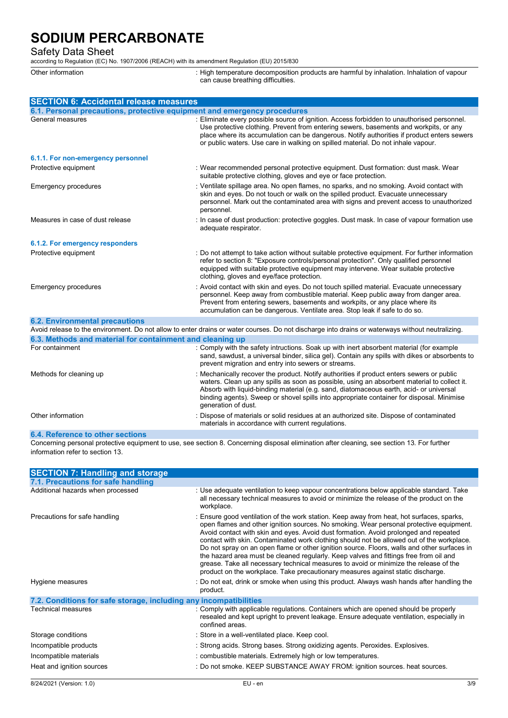Safety Data Sheet

according to Regulation (EC) No. 1907/2006 (REACH) with its amendment Regulation (EU) 2015/830

Other information state of the state of the composition products are harmful by inhalation. Inhalation of vapour can cause breathing difficulties.

| <b>SECTION 6: Accidental release measures</b>                                                                                                    |                                                                                                                                                                                                                                                                                                                                                                                                        |  |
|--------------------------------------------------------------------------------------------------------------------------------------------------|--------------------------------------------------------------------------------------------------------------------------------------------------------------------------------------------------------------------------------------------------------------------------------------------------------------------------------------------------------------------------------------------------------|--|
| 6.1. Personal precautions, protective equipment and emergency procedures                                                                         |                                                                                                                                                                                                                                                                                                                                                                                                        |  |
| General measures                                                                                                                                 | : Eliminate every possible source of ignition. Access forbidden to unauthorised personnel.<br>Use protective clothing. Prevent from entering sewers, basements and workpits, or any<br>place where its accumulation can be dangerous. Notify authorities if product enters sewers<br>or public waters. Use care in walking on spilled material. Do not inhale vapour.                                  |  |
| 6.1.1. For non-emergency personnel                                                                                                               |                                                                                                                                                                                                                                                                                                                                                                                                        |  |
| Protective equipment                                                                                                                             | : Wear recommended personal protective equipment. Dust formation: dust mask. Wear<br>suitable protective clothing, gloves and eye or face protection.                                                                                                                                                                                                                                                  |  |
| <b>Emergency procedures</b>                                                                                                                      | : Ventilate spillage area. No open flames, no sparks, and no smoking. Avoid contact with<br>skin and eyes. Do not touch or walk on the spilled product. Evacuate unnecessary<br>personnel. Mark out the contaminated area with signs and prevent access to unauthorized<br>personnel.                                                                                                                  |  |
| Measures in case of dust release                                                                                                                 | : In case of dust production: protective goggles. Dust mask. In case of vapour formation use<br>adequate respirator.                                                                                                                                                                                                                                                                                   |  |
| 6.1.2. For emergency responders                                                                                                                  |                                                                                                                                                                                                                                                                                                                                                                                                        |  |
| Protective equipment                                                                                                                             | : Do not attempt to take action without suitable protective equipment. For further information<br>refer to section 8: "Exposure controls/personal protection". Only qualified personnel<br>equipped with suitable protective equipment may intervene. Wear suitable protective<br>clothing, gloves and eye/face protection.                                                                            |  |
| <b>Emergency procedures</b>                                                                                                                      | : Avoid contact with skin and eyes. Do not touch spilled material. Evacuate unnecessary<br>personnel. Keep away from combustible material. Keep public away from danger area.<br>Prevent from entering sewers, basements and workpits, or any place where its<br>accumulation can be dangerous. Ventilate area. Stop leak if safe to do so.                                                            |  |
| <b>6.2. Environmental precautions</b>                                                                                                            |                                                                                                                                                                                                                                                                                                                                                                                                        |  |
| Avoid release to the environment. Do not allow to enter drains or water courses. Do not discharge into drains or waterways without neutralizing. |                                                                                                                                                                                                                                                                                                                                                                                                        |  |
| 6.3. Methods and material for containment and cleaning up                                                                                        |                                                                                                                                                                                                                                                                                                                                                                                                        |  |
| For containment                                                                                                                                  | : Comply with the safety intructions. Soak up with inert absorbent material (for example<br>sand, sawdust, a universal binder, silica gel). Contain any spills with dikes or absorbents to<br>prevent migration and entry into sewers or streams.                                                                                                                                                      |  |
| Methods for cleaning up                                                                                                                          | : Mechanically recover the product. Notify authorities if product enters sewers or public<br>waters. Clean up any spills as soon as possible, using an absorbent material to collect it.<br>Absorb with liquid-binding material (e.g. sand, diatomaceous earth, acid- or universal<br>binding agents). Sweep or shovel spills into appropriate container for disposal. Minimise<br>generation of dust. |  |
| Other information                                                                                                                                | : Dispose of materials or solid residues at an authorized site. Dispose of contaminated<br>materials in accordance with current regulations.                                                                                                                                                                                                                                                           |  |
| 6.4. Reference to other sections                                                                                                                 |                                                                                                                                                                                                                                                                                                                                                                                                        |  |

Concerning personal protective equipment to use, see section 8. Concerning disposal elimination after cleaning, see section 13. For further information refer to section 13.

| <b>SECTION 7: Handling and storage</b>                            |                                                                                                                                                                                                                                                                                                                                                                                                                                                                                                                                                                                                                                                                                                                                               |
|-------------------------------------------------------------------|-----------------------------------------------------------------------------------------------------------------------------------------------------------------------------------------------------------------------------------------------------------------------------------------------------------------------------------------------------------------------------------------------------------------------------------------------------------------------------------------------------------------------------------------------------------------------------------------------------------------------------------------------------------------------------------------------------------------------------------------------|
| 7.1. Precautions for safe handling                                |                                                                                                                                                                                                                                                                                                                                                                                                                                                                                                                                                                                                                                                                                                                                               |
| Additional hazards when processed                                 | : Use adequate ventilation to keep vapour concentrations below applicable standard. Take<br>all necessary technical measures to avoid or minimize the release of the product on the<br>workplace.                                                                                                                                                                                                                                                                                                                                                                                                                                                                                                                                             |
| Precautions for safe handling                                     | : Ensure good ventilation of the work station. Keep away from heat, hot surfaces, sparks,<br>open flames and other ignition sources. No smoking. Wear personal protective equipment.<br>Avoid contact with skin and eyes. Avoid dust formation. Avoid prolonged and repeated<br>contact with skin. Contaminated work clothing should not be allowed out of the workplace.<br>Do not spray on an open flame or other ignition source. Floors, walls and other surfaces in<br>the hazard area must be cleaned regularly. Keep valves and fittings free from oil and<br>grease. Take all necessary technical measures to avoid or minimize the release of the<br>product on the workplace. Take precautionary measures against static discharge. |
| Hygiene measures                                                  | : Do not eat, drink or smoke when using this product. Always wash hands after handling the<br>product.                                                                                                                                                                                                                                                                                                                                                                                                                                                                                                                                                                                                                                        |
| 7.2. Conditions for safe storage, including any incompatibilities |                                                                                                                                                                                                                                                                                                                                                                                                                                                                                                                                                                                                                                                                                                                                               |
| Technical measures                                                | : Comply with applicable regulations. Containers which are opened should be properly<br>resealed and kept upright to prevent leakage. Ensure adequate ventilation, especially in<br>confined areas.                                                                                                                                                                                                                                                                                                                                                                                                                                                                                                                                           |
| Storage conditions                                                | : Store in a well-ventilated place. Keep cool.                                                                                                                                                                                                                                                                                                                                                                                                                                                                                                                                                                                                                                                                                                |
| Incompatible products                                             | : Strong acids. Strong bases. Strong oxidizing agents. Peroxides. Explosives.                                                                                                                                                                                                                                                                                                                                                                                                                                                                                                                                                                                                                                                                 |
| Incompatible materials                                            | : combustible materials. Extremely high or low temperatures.                                                                                                                                                                                                                                                                                                                                                                                                                                                                                                                                                                                                                                                                                  |
| Heat and ignition sources                                         | : Do not smoke. KEEP SUBSTANCE AWAY FROM: ignition sources. heat sources.                                                                                                                                                                                                                                                                                                                                                                                                                                                                                                                                                                                                                                                                     |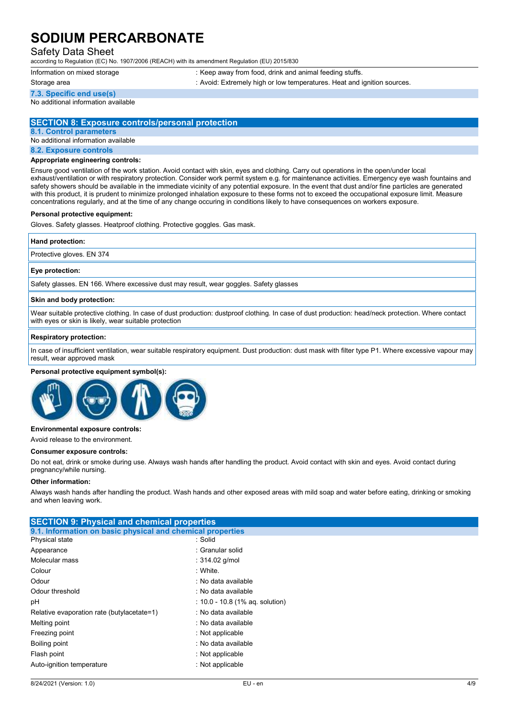## Safety Data Sheet

according to Regulation (EC) No. 1907/2006 (REACH) with its amendment Regulation (EU) 2015/830

Information on mixed storage : Keep away from food, drink and animal feeding stuffs.

**7.3. Specific end use(s)**

Storage area **interest and ignition** : Avoid: Extremely high or low temperatures. Heat and ignition sources.

No additional information available

## **SECTION 8: Exposure controls/personal protection**

**8.1. Control parameters**

No additional information available

#### **8.2. Exposure controls**

#### **Appropriate engineering controls:**

Ensure good ventilation of the work station. Avoid contact with skin, eyes and clothing. Carry out operations in the open/under local exhaust/ventilation or with respiratory protection. Consider work permit system e.g. for maintenance activities. Emergency eye wash fountains and safety showers should be available in the immediate vicinity of any potential exposure. In the event that dust and/or fine particles are generated with this product, it is prudent to minimize prolonged inhalation exposure to these forms not to exceed the occupational exposure limit. Measure concentrations regularly, and at the time of any change occuring in conditions likely to have consequences on workers exposure.

### **Personal protective equipment:**

Gloves. Safety glasses. Heatproof clothing. Protective goggles. Gas mask.

### **Hand protection:**

Protective gloves. EN 374

#### **Eye protection:**

Safety glasses. EN 166. Where excessive dust may result, wear goggles. Safety glasses

#### **Skin and body protection:**

Wear suitable protective clothing. In case of dust production: dustproof clothing. In case of dust production: head/neck protection. Where contact with eyes or skin is likely, wear suitable protection

### **Respiratory protection:**

In case of insufficient ventilation, wear suitable respiratory equipment. Dust production: dust mask with filter type P1. Where excessive vapour may result, wear approved mask

#### **Personal protective equipment symbol(s):**



#### **Environmental exposure controls:**

Avoid release to the environment.

#### **Consumer exposure controls:**

Do not eat, drink or smoke during use. Always wash hands after handling the product. Avoid contact with skin and eyes. Avoid contact during pregnancy/while nursing.

#### **Other information:**

Always wash hands after handling the product. Wash hands and other exposed areas with mild soap and water before eating, drinking or smoking and when leaving work.

## **SECTION 9: Physical and chemical properties 9.1. Information on basic physical and chemical properties** Physical state : Solid Appearance : Granular solid Molecular mass : 314.02 g/mol Colour : White. Odour : No data available Odour threshold is a set of the state of the state of the state of the state of the state of the state of the state of the state of the state of the state of the state of the state of the state of the state of the state of pH : 10.0 - 10.8 (1% aq. solution) Relative evaporation rate (butylacetate=1) : No data available Melting point **in the contract of the contract of the contract of the contract of the contract of the contract of the contract of the contract of the contract of the contract of the contract of the contract of the contract** Freezing point **in the case of the Contract Contract Contract Contract Contract Contract Contract Contract Contract Contract Contract Contract Contract Contract Contract Contract Contract Contract Contract Contract Contrac** Boiling point **in the case of the case of the case of the case of the case of the case of the case of the case of the case of the case of the case of the case of the case of the case of the case of the case of the case of** Flash point **in the case of the case of the case of the case of the case of the case of the case of the case of the case of the case of the case of the case of the case of the case of the case of the case of the case of th** Auto-ignition temperature in the state of the state of the state of the state of the state of the state of the state of the state of the state of the state of the state of the state of the state of the state of the state o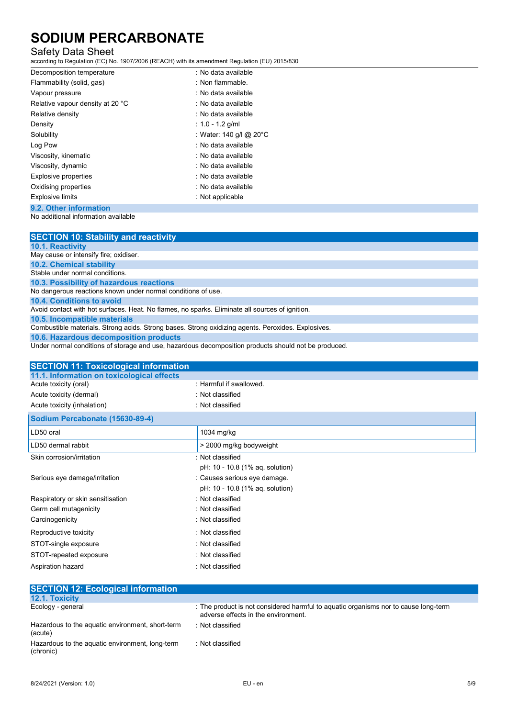## Safety Data Sheet

according to Regulation (EC) No. 1907/2006 (REACH) with its amendment Regulation (EU) 2015/830

| Decomposition temperature        | : No data available     |
|----------------------------------|-------------------------|
| Flammability (solid, gas)        | : Non flammable.        |
| Vapour pressure                  | : No data available     |
| Relative vapour density at 20 °C | : No data available     |
| Relative density                 | : No data available     |
| Density                          | : 1.0 - 1.2 g/ml        |
| Solubility                       | : Water: 140 g/l @ 20°C |
| Log Pow                          | : No data available     |
| Viscosity, kinematic             | : No data available     |
| Viscosity, dynamic               | : No data available     |
| Explosive properties             | : No data available     |
| Oxidising properties             | : No data available     |
| <b>Explosive limits</b>          | : Not applicable        |
| 9.2. Other information           |                         |

No additional information available

| <b>SECTION 10: Stability and reactivity</b>                                                          |
|------------------------------------------------------------------------------------------------------|
| <b>10.1. Reactivity</b>                                                                              |
| May cause or intensify fire; oxidiser.                                                               |
| <b>10.2. Chemical stability</b>                                                                      |
| Stable under normal conditions.                                                                      |
| 10.3. Possibility of hazardous reactions                                                             |
| No dangerous reactions known under normal conditions of use.                                         |
| 10.4. Conditions to avoid                                                                            |
| Avoid contact with hot surfaces. Heat. No flames, no sparks. Eliminate all sources of ignition.      |
| 10.5. Incompatible materials                                                                         |
| Combustible materials. Strong acids. Strong bases. Strong oxidizing agents. Peroxides. Explosives.   |
| 10.6. Hazardous decomposition products                                                               |
| Under normal conditions of storage and use, hazardous decomposition products should not be produced. |

| <b>SECTION 11: Toxicological information</b> |                                 |
|----------------------------------------------|---------------------------------|
| 11.1. Information on toxicological effects   |                                 |
| Acute toxicity (oral)                        | : Harmful if swallowed.         |
| Acute toxicity (dermal)                      | : Not classified                |
| Acute toxicity (inhalation)                  | : Not classified                |
| Sodium Percabonate (15630-89-4)              |                                 |
| LD50 oral                                    | 1034 mg/kg                      |
| LD50 dermal rabbit                           | > 2000 mg/kg bodyweight         |
| Skin corrosion/irritation                    | : Not classified                |
|                                              | pH: 10 - 10.8 (1% aq. solution) |
| Serious eye damage/irritation                | : Causes serious eye damage.    |
|                                              | pH: 10 - 10.8 (1% aq. solution) |
| Respiratory or skin sensitisation            | : Not classified                |
| Germ cell mutagenicity                       | : Not classified                |
| Carcinogenicity                              | : Not classified                |
| Reproductive toxicity                        | : Not classified                |
| STOT-single exposure                         | : Not classified                |
| STOT-repeated exposure                       | : Not classified                |
| Aspiration hazard                            | : Not classified                |

| <b>SECTION 12: Ecological information</b>                    |                                                                                                                            |
|--------------------------------------------------------------|----------------------------------------------------------------------------------------------------------------------------|
| <b>12.1. Toxicity</b>                                        |                                                                                                                            |
| Ecology - general                                            | : The product is not considered harmful to aguatic organisms nor to cause long-term<br>adverse effects in the environment. |
| Hazardous to the aquatic environment, short-term<br>(acute)  | : Not classified                                                                                                           |
| Hazardous to the aquatic environment, long-term<br>(chronic) | : Not classified                                                                                                           |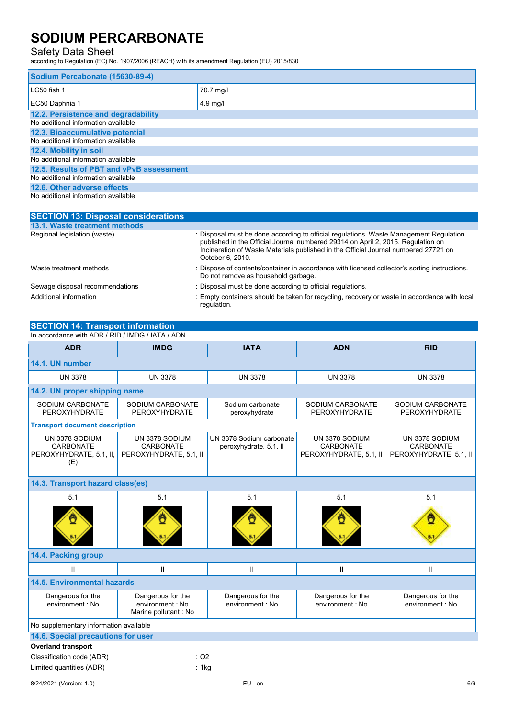## Safety Data Sheet

according to Regulation (EC) No. 1907/2006 (REACH) with its amendment Regulation (EU) 2015/830

| Sodium Percabonate (15630-89-4)                                            |            |  |
|----------------------------------------------------------------------------|------------|--|
| LC50 fish 1                                                                | 70.7 mg/l  |  |
| EC50 Daphnia 1                                                             | $4.9$ mg/l |  |
| 12.2. Persistence and degradability<br>No additional information available |            |  |
| 12.3. Bioaccumulative potential                                            |            |  |
| No additional information available                                        |            |  |
| 12.4. Mobility in soil                                                     |            |  |
| No additional information available                                        |            |  |
| 12.5. Results of PBT and vPvB assessment                                   |            |  |
| No additional information available                                        |            |  |
| 12.6. Other adverse effects                                                |            |  |
| No additional information available                                        |            |  |

| <b>SECTION 13: Disposal considerations</b> |                                                                                                                                                                                                                                                                                       |
|--------------------------------------------|---------------------------------------------------------------------------------------------------------------------------------------------------------------------------------------------------------------------------------------------------------------------------------------|
| 13.1. Waste treatment methods              |                                                                                                                                                                                                                                                                                       |
| Regional legislation (waste)               | : Disposal must be done according to official regulations. Waste Management Regulation<br>published in the Official Journal numbered 29314 on April 2, 2015. Regulation on<br>Incineration of Waste Materials published in the Official Journal numbered 27721 on<br>October 6, 2010. |
| Waste treatment methods                    | : Dispose of contents/container in accordance with licensed collector's sorting instructions.<br>Do not remove as household garbage.                                                                                                                                                  |
| Sewage disposal recommendations            | : Disposal must be done according to official regulations.                                                                                                                                                                                                                            |
| Additional information                     | : Empty containers should be taken for recycling, recovery or waste in accordance with local<br>regulation.                                                                                                                                                                           |

| <b>SECTION 14: Transport information</b>                             |                                                               |                                                    |                                                              |                                                       |
|----------------------------------------------------------------------|---------------------------------------------------------------|----------------------------------------------------|--------------------------------------------------------------|-------------------------------------------------------|
| In accordance with ADR / RID / IMDG / IATA / ADN                     |                                                               |                                                    |                                                              |                                                       |
| <b>ADR</b>                                                           | <b>IMDG</b>                                                   | <b>IATA</b>                                        | <b>ADN</b>                                                   | <b>RID</b>                                            |
| 14.1. UN number                                                      |                                                               |                                                    |                                                              |                                                       |
| <b>UN 3378</b>                                                       | <b>UN 3378</b>                                                | <b>UN 3378</b>                                     | <b>UN 3378</b>                                               | <b>UN 3378</b>                                        |
| 14.2. UN proper shipping name                                        |                                                               |                                                    |                                                              |                                                       |
| SODIUM CARBONATE<br>PEROXYHYDRATE                                    | SODIUM CARBONATE<br>PEROXYHYDRATE                             | Sodium carbonate<br>peroxyhydrate                  | SODIUM CARBONATE<br>PEROXYHYDRATE                            | SODIUM CARBONATE<br>PEROXYHYDRATE                     |
| <b>Transport document description</b>                                |                                                               |                                                    |                                                              |                                                       |
| UN 3378 SODIUM<br><b>CARBONATE</b><br>PEROXYHYDRATE, 5.1, II,<br>(E) | UN 3378 SODIUM<br><b>CARBONATE</b><br>PEROXYHYDRATE, 5.1, II  | UN 3378 Sodium carbonate<br>peroxyhydrate, 5.1, II | UN 3378 SODIUM<br><b>CARBONATE</b><br>PEROXYHYDRATE, 5.1, II | UN 3378 SODIUM<br>CARBONATE<br>PEROXYHYDRATE, 5.1, II |
| 14.3. Transport hazard class(es)                                     |                                                               |                                                    |                                                              |                                                       |
| 5.1                                                                  | 5.1                                                           | 5.1                                                | 5.1                                                          | 5.1                                                   |
|                                                                      |                                                               |                                                    |                                                              |                                                       |
| 14.4. Packing group                                                  |                                                               |                                                    |                                                              |                                                       |
| $\mathbf{H}$                                                         | $\mathbf{H}$                                                  | $\mathbf{I}$                                       | $\mathbf{H}$                                                 | $\mathsf{II}$                                         |
| <b>14.5. Environmental hazards</b>                                   |                                                               |                                                    |                                                              |                                                       |
| Dangerous for the<br>environment : No                                | Dangerous for the<br>environment: No<br>Marine pollutant : No | Dangerous for the<br>environment : No              | Dangerous for the<br>environment : No                        | Dangerous for the<br>environment : No                 |
| No supplementary information available                               |                                                               |                                                    |                                                              |                                                       |
| 14.6. Special precautions for user                                   |                                                               |                                                    |                                                              |                                                       |
| <b>Overland transport</b>                                            |                                                               |                                                    |                                                              |                                                       |
| Classification code (ADR)                                            | $:$ O <sub>2</sub>                                            |                                                    |                                                              |                                                       |
| Limited quantities (ADR)                                             | : 1kg                                                         |                                                    |                                                              |                                                       |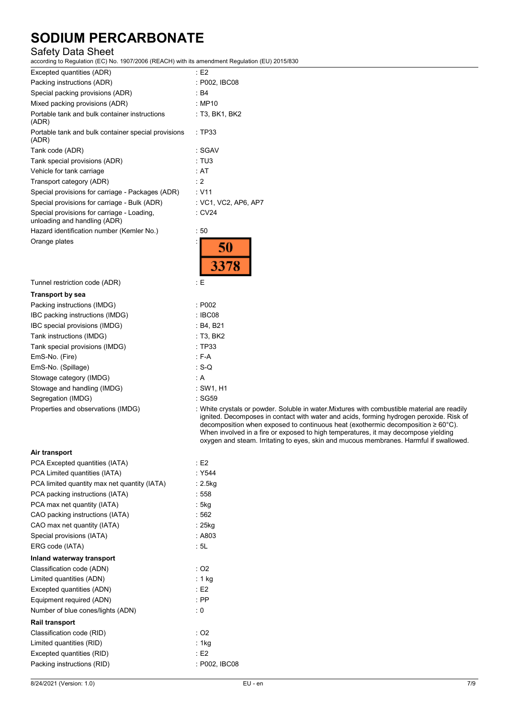## Safety Data Sheet

according to Regulation (EC) No. 1907/2006 (REACH) with its amendment Regulation (EU) 2015/830

> ignited. Decomposes in contact with water and acids, forming hydrogen peroxide. Risk of decomposition when exposed to continuous heat (exothermic decomposition ≥ 60°C). When involved in a fire or exposed to high temperatures, it may decompose yielding oxygen and steam. Irritating to eyes, skin and mucous membranes. Harmful if swallowed.

| Excepted quantities (ADR)                                                  | E2                   |
|----------------------------------------------------------------------------|----------------------|
| Packing instructions (ADR)                                                 | : P002, IBC08        |
| Special packing provisions (ADR)                                           | $\cdot$ R4           |
| Mixed packing provisions (ADR)                                             | : MP10               |
| Portable tank and bulk container instructions<br>(ADR)                     | : T3, BK1, BK2       |
| Portable tank and bulk container special provisions<br>(ADR)               | :TP33                |
| Tank code (ADR)                                                            | : SGAV               |
| Tank special provisions (ADR)                                              | : TUS                |
| Vehicle for tank carriage                                                  | : AT                 |
| Transport category (ADR)                                                   | : 2                  |
| Special provisions for carriage - Packages (ADR)                           | : V11                |
| Special provisions for carriage - Bulk (ADR)                               | : VC1, VC2, AP6, AP7 |
| Special provisions for carriage - Loading,<br>unloading and handling (ADR) | CV24                 |
| Hazard identification number (Kemler No.)                                  | : 50                 |
| Orange plates                                                              | 50<br>3378           |
| Tunnel restriction code (ADR)                                              | : E                  |
| <b>Transport by sea</b>                                                    |                      |
| Packing instructions (IMDG)                                                | : P <sub>002</sub>   |
| IBC packing instructions (IMDG)                                            | : IBC08              |

| <b>FACKING INSURGIOUS (INICO)</b>  | . FUUZ                                                                                      |
|------------------------------------|---------------------------------------------------------------------------------------------|
| IBC packing instructions (IMDG)    | : IBC08                                                                                     |
| IBC special provisions (IMDG)      | : B4, B21                                                                                   |
| Tank instructions (IMDG)           | $:$ T3, BK2                                                                                 |
| Tank special provisions (IMDG)     | : TP33                                                                                      |
| EmS-No. (Fire)                     | : F-A                                                                                       |
| EmS-No. (Spillage)                 | $\cdot$ S-Q                                                                                 |
| Stowage category (IMDG)            | : A                                                                                         |
| Stowage and handling (IMDG)        | : SW1. H1                                                                                   |
| Segregation (IMDG)                 | : SG59                                                                                      |
| Properties and observations (IMDG) | : White crystals or powder. Soluble in water Mixtures with combustible material are readily |
|                                    |                                                                                             |

### **Air transport**

| PCA Excepted quantities (IATA)               | E2            |
|----------------------------------------------|---------------|
| PCA Limited quantities (IATA)                | : Y544        |
| PCA limited quantity max net quantity (IATA) | $: 2.5$ kg    |
| PCA packing instructions (IATA)              | : 558         |
| PCA max net quantity (IATA)                  | : 5kg         |
| CAO packing instructions (IATA)              | :562          |
| CAO max net quantity (IATA)                  | : 25kg        |
| Special provisions (IATA)                    | : A803        |
| ERG code (IATA)                              | : 5L          |
| Inland waterway transport                    |               |
| Classification code (ADN)                    | : O2          |
| Limited quantities (ADN)                     | : 1 kg        |
| Excepted quantities (ADN)                    | E2            |
| Equipment required (ADN)                     | $:$ PP        |
| Number of blue cones/lights (ADN)            | : 0           |
| <b>Rail transport</b>                        |               |
| Classification code (RID)                    | : O2          |
| Limited quantities (RID)                     | : 1kg         |
| Excepted quantities (RID)                    | E2            |
| Packing instructions (RID)                   | : P002, IBC08 |
|                                              |               |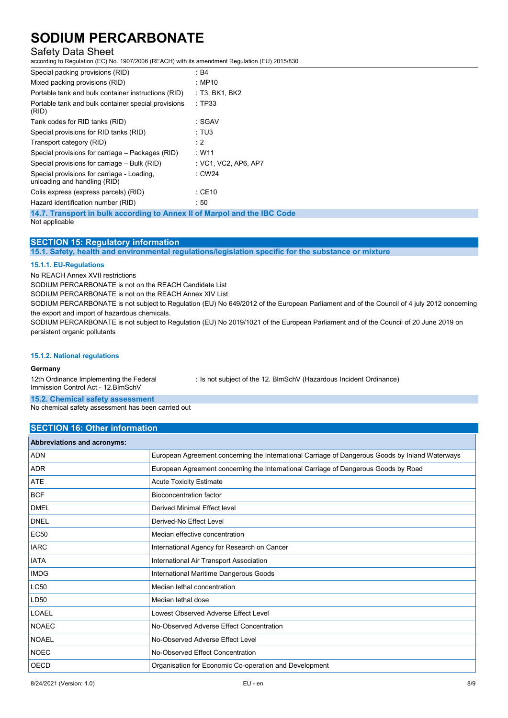## Safety Data Sheet

according to Regulation (EC) No. 1907/2006 (REACH) with its amendment Regulation (EU) 2015/830

| Special packing provisions (RID)                                                           | : B4                 |
|--------------------------------------------------------------------------------------------|----------------------|
| Mixed packing provisions (RID)                                                             | : MP10               |
| Portable tank and bulk container instructions (RID)                                        | : T3, BK1, BK2       |
| Portable tank and bulk container special provisions<br>(RID)                               | :TP33                |
| Tank codes for RID tanks (RID)                                                             | : SGAV               |
| Special provisions for RID tanks (RID)                                                     | : TUS                |
| Transport category (RID)                                                                   | : 2                  |
| Special provisions for carriage – Packages (RID)                                           | : W11                |
| Special provisions for carriage – Bulk (RID)                                               | : VC1, VC2, AP6, AP7 |
| Special provisions for carriage - Loading,<br>unloading and handling (RID)                 | : CW24               |
| Colis express (express parcels) (RID)                                                      | $:$ CE10             |
| Hazard identification number (RID)                                                         | : 50                 |
| 14.7. Transport in bulk according to Annex II of Marpol and the IBC Code<br>Not applicable |                      |

Not applicable

## **SECTION 15: Regulatory information**

**15.1. Safety, health and environmental regulations/legislation specific for the substance or mixture**

### **15.1.1. EU-Regulations**

No REACH Annex XVII restrictions

SODIUM PERCARBONATE is not on the REACH Candidate List

SODIUM PERCARBONATE is not on the REACH Annex XIV List

SODIUM PERCARBONATE is not subject to Regulation (EU) No 649/2012 of the European Parliament and of the Council of 4 july 2012 concerning the export and import of hazardous chemicals.

SODIUM PERCARBONATE is not subject to Regulation (EU) No 2019/1021 of the European Parliament and of the Council of 20 June 2019 on persistent organic pollutants

### **15.1.2. National regulations**

### **Germany**

12th Ordinance Implementing the Federal Immission Control Act - 12.BImSchV : Is not subject of the 12. BlmSchV (Hazardous Incident Ordinance)

**15.2. Chemical safety assessment**

No chemical safety assessment has been carried out

### **SECTION 16: Other information**

| <b>Abbreviations and acronyms:</b> |                                                                                                 |
|------------------------------------|-------------------------------------------------------------------------------------------------|
| <b>ADN</b>                         | European Agreement concerning the International Carriage of Dangerous Goods by Inland Waterways |
| <b>ADR</b>                         | European Agreement concerning the International Carriage of Dangerous Goods by Road             |
| <b>ATE</b>                         | <b>Acute Toxicity Estimate</b>                                                                  |
| <b>BCF</b>                         | <b>Bioconcentration factor</b>                                                                  |
| <b>DMEL</b>                        | Derived Minimal Effect level                                                                    |
| <b>DNEL</b>                        | Derived-No Effect Level                                                                         |
| <b>EC50</b>                        | Median effective concentration                                                                  |
| <b>IARC</b>                        | International Agency for Research on Cancer                                                     |
| <b>IATA</b>                        | International Air Transport Association                                                         |
| <b>IMDG</b>                        | International Maritime Dangerous Goods                                                          |
| LC50                               | Median lethal concentration                                                                     |
| LD <sub>50</sub>                   | Median lethal dose                                                                              |
| LOAEL                              | Lowest Observed Adverse Effect Level                                                            |
| <b>NOAEC</b>                       | No-Observed Adverse Effect Concentration                                                        |
| <b>NOAEL</b>                       | No-Observed Adverse Effect Level                                                                |
| <b>NOEC</b>                        | No-Observed Effect Concentration                                                                |
| OECD                               | Organisation for Economic Co-operation and Development                                          |